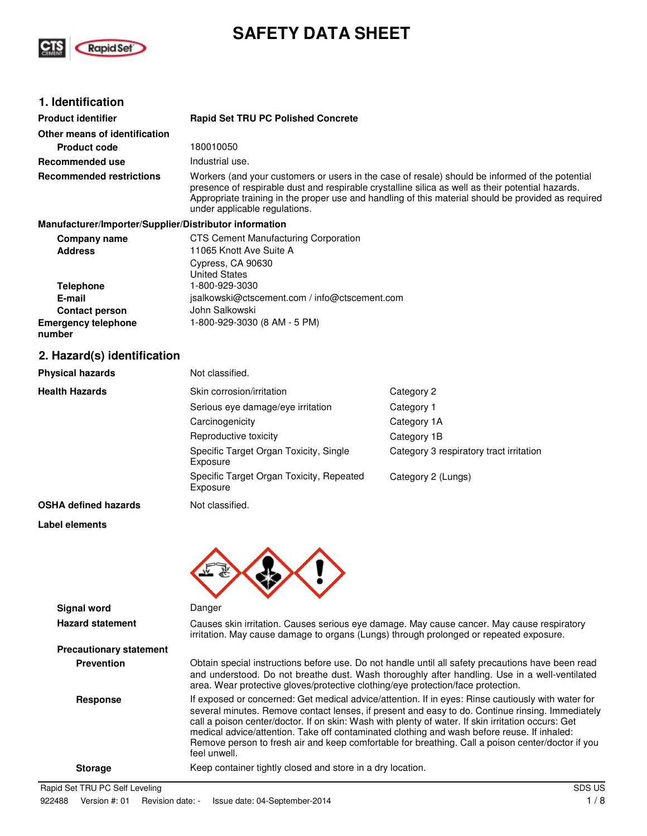

# **SAFETY DATA SHEET**

# **1. Identification**

**Label elements**

| <b>Product identifier</b>                              | <b>Rapid Set TRU PC Polished Concrete</b>                                                                                                                                                                                                                                                                                                    |
|--------------------------------------------------------|----------------------------------------------------------------------------------------------------------------------------------------------------------------------------------------------------------------------------------------------------------------------------------------------------------------------------------------------|
| Other means of identification                          |                                                                                                                                                                                                                                                                                                                                              |
| <b>Product code</b>                                    | 180010050                                                                                                                                                                                                                                                                                                                                    |
| Recommended use                                        | Industrial use.                                                                                                                                                                                                                                                                                                                              |
| <b>Recommended restrictions</b>                        | Workers (and your customers or users in the case of resale) should be informed of the potential<br>presence of respirable dust and respirable crystalline silica as well as their potential hazards.<br>Appropriate training in the proper use and handling of this material should be provided as required<br>under applicable regulations. |
| Manufacturer/Importer/Supplier/Distributor information |                                                                                                                                                                                                                                                                                                                                              |
| Company name<br><b>Address</b>                         | <b>CTS Cement Manufacturing Corporation</b><br>11065 Knott Ave Suite A                                                                                                                                                                                                                                                                       |
|                                                        | Cypress, CA 90630<br><b>United States</b>                                                                                                                                                                                                                                                                                                    |
| <b>Telephone</b>                                       | 1-800-929-3030                                                                                                                                                                                                                                                                                                                               |
| E-mail                                                 | isalkowski@ctscement.com / info@ctscement.com                                                                                                                                                                                                                                                                                                |
| <b>Contact person</b>                                  | John Salkowski                                                                                                                                                                                                                                                                                                                               |
| <b>Emergency telephone</b><br>number                   | 1-800-929-3030 (8 AM - 5 PM)                                                                                                                                                                                                                                                                                                                 |
| 2. Hazard(s) identification                            |                                                                                                                                                                                                                                                                                                                                              |
| <b>Physical hazards</b>                                | Not classified.                                                                                                                                                                                                                                                                                                                              |
|                                                        |                                                                                                                                                                                                                                                                                                                                              |

| <b>Health Hazards</b>       | Skin corrosion/irritation                            | Category 2                              |
|-----------------------------|------------------------------------------------------|-----------------------------------------|
|                             | Serious eye damage/eye irritation                    | Category 1                              |
|                             | Carcinogenicity                                      | Category 1A                             |
|                             | Reproductive toxicity                                | Category 1B                             |
|                             | Specific Target Organ Toxicity, Single<br>Exposure   | Category 3 respiratory tract irritation |
|                             | Specific Target Organ Toxicity, Repeated<br>Exposure | Category 2 (Lungs)                      |
| <b>OSHA defined hazards</b> | Not classified.                                      |                                         |

| <b>Signal word</b>             | Danger                                                                                                                                                                                                                                                                                                                                                                                                                                                                                                                           |
|--------------------------------|----------------------------------------------------------------------------------------------------------------------------------------------------------------------------------------------------------------------------------------------------------------------------------------------------------------------------------------------------------------------------------------------------------------------------------------------------------------------------------------------------------------------------------|
| <b>Hazard statement</b>        | Causes skin irritation. Causes serious eye damage. May cause cancer. May cause respiratory<br>irritation. May cause damage to organs (Lungs) through prolonged or repeated exposure.                                                                                                                                                                                                                                                                                                                                             |
| <b>Precautionary statement</b> |                                                                                                                                                                                                                                                                                                                                                                                                                                                                                                                                  |
| <b>Prevention</b>              | Obtain special instructions before use. Do not handle until all safety precautions have been read<br>and understood. Do not breathe dust. Wash thoroughly after handling. Use in a well-ventilated<br>area. Wear protective gloves/protective clothing/eye protection/face protection.                                                                                                                                                                                                                                           |
| <b>Response</b>                | If exposed or concerned: Get medical advice/attention. If in eyes: Rinse cautiously with water for<br>several minutes. Remove contact lenses, if present and easy to do. Continue rinsing. Immediately<br>call a poison center/doctor. If on skin: Wash with plenty of water. If skin irritation occurs: Get<br>medical advice/attention. Take off contaminated clothing and wash before reuse. If inhaled:<br>Remove person to fresh air and keep comfortable for breathing. Call a poison center/doctor if you<br>feel unwell. |
| <b>Storage</b>                 | Keep container tightly closed and store in a dry location.                                                                                                                                                                                                                                                                                                                                                                                                                                                                       |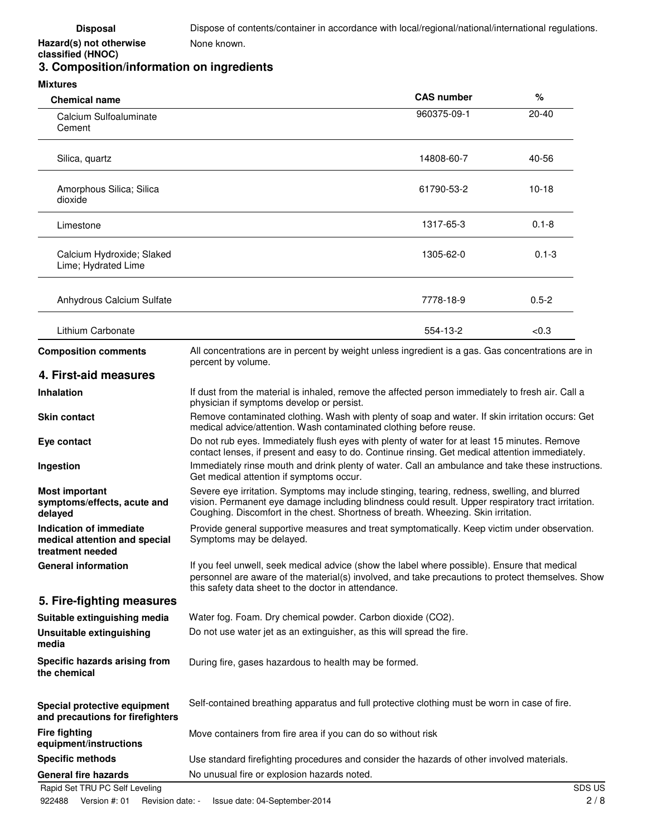### **classified (HNOC) 3. Composition/information on ingredients**

**Hazard(s) not otherwise** 

| <b>Mixtures</b>                                                              |                                                                                                                                                                                                                                                                                           |                   |           |
|------------------------------------------------------------------------------|-------------------------------------------------------------------------------------------------------------------------------------------------------------------------------------------------------------------------------------------------------------------------------------------|-------------------|-----------|
| <b>Chemical name</b>                                                         |                                                                                                                                                                                                                                                                                           | <b>CAS number</b> | %         |
| Calcium Sulfoaluminate<br>Cement                                             |                                                                                                                                                                                                                                                                                           | 960375-09-1       | $20 - 40$ |
| Silica, quartz                                                               |                                                                                                                                                                                                                                                                                           | 14808-60-7        | 40-56     |
| Amorphous Silica; Silica<br>dioxide                                          |                                                                                                                                                                                                                                                                                           | 61790-53-2        | $10 - 18$ |
| Limestone                                                                    |                                                                                                                                                                                                                                                                                           | 1317-65-3         | $0.1 - 8$ |
| Calcium Hydroxide; Slaked<br>Lime; Hydrated Lime                             |                                                                                                                                                                                                                                                                                           | 1305-62-0         | $0.1 - 3$ |
| Anhydrous Calcium Sulfate                                                    |                                                                                                                                                                                                                                                                                           | 7778-18-9         | $0.5 - 2$ |
| Lithium Carbonate                                                            |                                                                                                                                                                                                                                                                                           | 554-13-2          | < 0.3     |
| <b>Composition comments</b>                                                  | All concentrations are in percent by weight unless ingredient is a gas. Gas concentrations are in<br>percent by volume.                                                                                                                                                                   |                   |           |
| 4. First-aid measures                                                        |                                                                                                                                                                                                                                                                                           |                   |           |
| <b>Inhalation</b>                                                            | If dust from the material is inhaled, remove the affected person immediately to fresh air. Call a<br>physician if symptoms develop or persist.                                                                                                                                            |                   |           |
| <b>Skin contact</b>                                                          | Remove contaminated clothing. Wash with plenty of soap and water. If skin irritation occurs: Get<br>medical advice/attention. Wash contaminated clothing before reuse.                                                                                                                    |                   |           |
| Eye contact                                                                  | Do not rub eyes. Immediately flush eyes with plenty of water for at least 15 minutes. Remove<br>contact lenses, if present and easy to do. Continue rinsing. Get medical attention immediately.                                                                                           |                   |           |
| Ingestion                                                                    | Immediately rinse mouth and drink plenty of water. Call an ambulance and take these instructions.<br>Get medical attention if symptoms occur.                                                                                                                                             |                   |           |
| <b>Most important</b><br>symptoms/effects, acute and<br>delayed              | Severe eye irritation. Symptoms may include stinging, tearing, redness, swelling, and blurred<br>vision. Permanent eye damage including blindness could result. Upper respiratory tract irritation.<br>Coughing. Discomfort in the chest. Shortness of breath. Wheezing. Skin irritation. |                   |           |
| Indication of immediate<br>medical attention and special<br>treatment needed | Provide general supportive measures and treat symptomatically. Keep victim under observation.<br>Symptoms may be delayed.                                                                                                                                                                 |                   |           |
| <b>General information</b>                                                   | If you feel unwell, seek medical advice (show the label where possible). Ensure that medical<br>personnel are aware of the material(s) involved, and take precautions to protect themselves. Show<br>this safety data sheet to the doctor in attendance.                                  |                   |           |
| 5. Fire-fighting measures                                                    |                                                                                                                                                                                                                                                                                           |                   |           |

| Suitable extinguishing media                                     | Water fog. Foam. Dry chemical powder. Carbon dioxide (CO2).                                   |
|------------------------------------------------------------------|-----------------------------------------------------------------------------------------------|
| Unsuitable extinguishing<br>media                                | Do not use water jet as an extinguisher, as this will spread the fire.                        |
| Specific hazards arising from<br>the chemical                    | During fire, gases hazardous to health may be formed.                                         |
| Special protective equipment<br>and precautions for firefighters | Self-contained breathing apparatus and full protective clothing must be worn in case of fire. |
| <b>Fire fighting</b><br>equipment/instructions                   | Move containers from fire area if you can do so without risk                                  |

**Specific methods** Use standard firefighting procedures and consider the hazards of other involved materials. General fire hazards **No unusual fire or explosion hazards noted.** 

Rapid Set TRU PC Self Leveling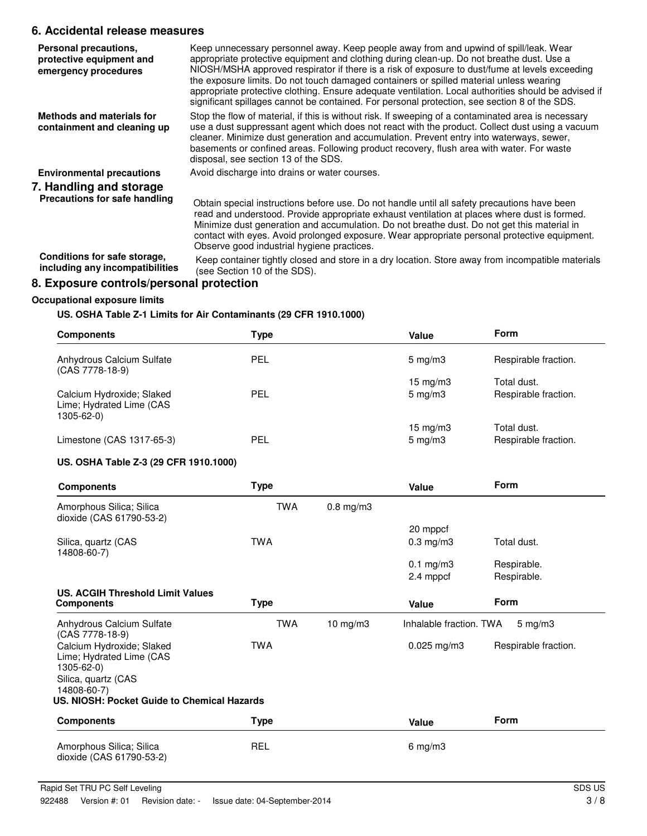# **6. Accidental release measures**

| Personal precautions,<br>protective equipment and<br>emergency procedures | Keep unnecessary personnel away. Keep people away from and upwind of spill/leak. Wear<br>appropriate protective equipment and clothing during clean-up. Do not breathe dust. Use a<br>NIOSH/MSHA approved respirator if there is a risk of exposure to dust/fume at levels exceeding<br>the exposure limits. Do not touch damaged containers or spilled material unless wearing<br>appropriate protective clothing. Ensure adequate ventilation. Local authorities should be advised if<br>significant spillages cannot be contained. For personal protection, see section 8 of the SDS. |
|---------------------------------------------------------------------------|------------------------------------------------------------------------------------------------------------------------------------------------------------------------------------------------------------------------------------------------------------------------------------------------------------------------------------------------------------------------------------------------------------------------------------------------------------------------------------------------------------------------------------------------------------------------------------------|
| Methods and materials for<br>containment and cleaning up                  | Stop the flow of material, if this is without risk. If sweeping of a contaminated area is necessary<br>use a dust suppressant agent which does not react with the product. Collect dust using a vacuum<br>cleaner. Minimize dust generation and accumulation. Prevent entry into waterways, sewer,<br>basements or confined areas. Following product recovery, flush area with water. For waste<br>disposal, see section 13 of the SDS.                                                                                                                                                  |
| <b>Environmental precautions</b>                                          | Avoid discharge into drains or water courses.                                                                                                                                                                                                                                                                                                                                                                                                                                                                                                                                            |
| 7. Handling and storage<br>Precautions for safe handling                  | Obtain special instructions before use. Do not handle until all safety precautions have been<br>read and understood. Provide appropriate exhaust ventilation at places where dust is formed.<br>Minimize dust generation and accumulation. Do not breathe dust. Do not get this material in<br>contact with eyes. Avoid prolonged exposure. Wear appropriate personal protective equipment.<br>Observe good industrial hygiene practices.                                                                                                                                                |
| Conditions for safe storage,<br>including any incompatibilities           | Keep container tightly closed and store in a dry location. Store away from incompatible materials<br>(see Section 10 of the SDS).                                                                                                                                                                                                                                                                                                                                                                                                                                                        |
| 8. Exposure controls/personal protection                                  |                                                                                                                                                                                                                                                                                                                                                                                                                                                                                                                                                                                          |
| <b>Occupational exposure limits</b>                                       |                                                                                                                                                                                                                                                                                                                                                                                                                                                                                                                                                                                          |

# **US. OSHA Table Z-1 Limits for Air Contaminants (29 CFR 1910.1000)**

| <b>Components</b>                                                                                                                                        | <b>Type</b> |                | Value                                 | Form                                |
|----------------------------------------------------------------------------------------------------------------------------------------------------------|-------------|----------------|---------------------------------------|-------------------------------------|
| Anhydrous Calcium Sulfate<br>(CAS 7778-18-9)                                                                                                             | <b>PEL</b>  |                | $5 \text{ mg/m}$                      | Respirable fraction.                |
| Calcium Hydroxide; Slaked<br>Lime; Hydrated Lime (CAS<br>1305-62-0)                                                                                      | PEL         |                | $15 \text{ mg/m}$<br>$5 \text{ mg/m}$ | Total dust.<br>Respirable fraction. |
| Limestone (CAS 1317-65-3)                                                                                                                                | <b>PEL</b>  |                | 15 mg/m3<br>$5 \text{ mg/m}$          | Total dust.<br>Respirable fraction. |
| US. OSHA Table Z-3 (29 CFR 1910.1000)                                                                                                                    |             |                |                                       |                                     |
| <b>Components</b>                                                                                                                                        | <b>Type</b> |                | Value                                 | Form                                |
| Amorphous Silica; Silica<br>dioxide (CAS 61790-53-2)                                                                                                     | <b>TWA</b>  | $0.8$ mg/m $3$ |                                       |                                     |
| Silica, quartz (CAS<br>14808-60-7)                                                                                                                       | <b>TWA</b>  |                | 20 mppcf<br>$0.3$ mg/m $3$            | Total dust.                         |
|                                                                                                                                                          |             |                | $0.1$ mg/m $3$<br>2.4 mppcf           | Respirable.<br>Respirable.          |
| <b>US. ACGIH Threshold Limit Values</b><br><b>Components</b>                                                                                             | <b>Type</b> |                | Value                                 | Form                                |
| Anhydrous Calcium Sulfate<br>(CAS 7778-18-9)                                                                                                             | <b>TWA</b>  | $10$ mg/m $3$  | Inhalable fraction. TWA               | $5 \text{ mg/m}$ 3                  |
| Calcium Hydroxide; Slaked<br>Lime; Hydrated Lime (CAS<br>1305-62-0)<br>Silica, quartz (CAS<br>14808-60-7)<br>US. NIOSH: Pocket Guide to Chemical Hazards | <b>TWA</b>  |                | $0.025$ mg/m3                         | Respirable fraction.                |
| <b>Components</b>                                                                                                                                        | <b>Type</b> |                | Value                                 | <b>Form</b>                         |
| Amorphous Silica; Silica<br>dioxide (CAS 61790-53-2)                                                                                                     | <b>REL</b>  |                | $6$ mg/m $3$                          |                                     |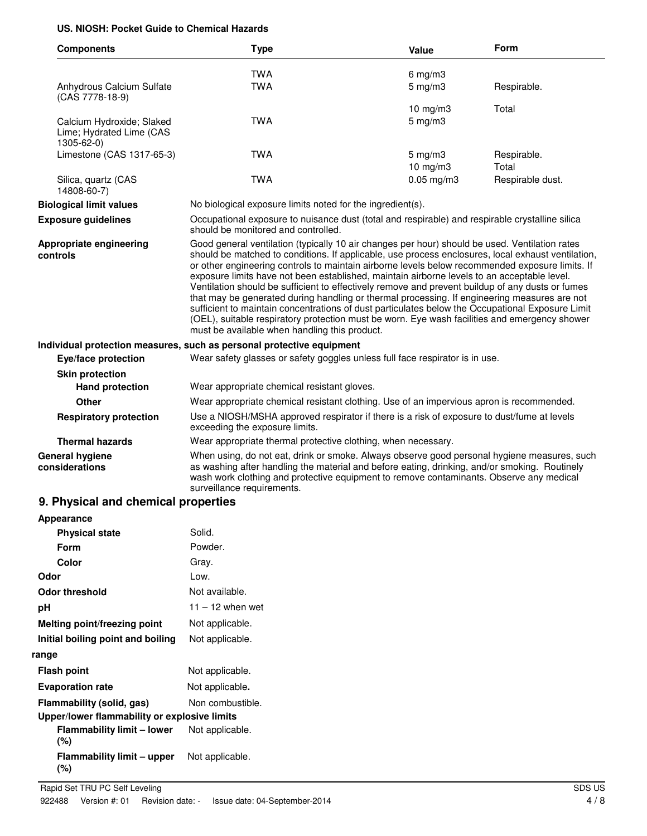### **US. NIOSH: Pocket Guide to Chemical Hazards**

| <b>TWA</b><br>6 mg/m $3$<br><b>TWA</b><br>Anhydrous Calcium Sulfate<br>$5$ mg/m $3$<br>Respirable.<br>(CAS 7778-18-9)<br>10 mg/m3<br>Total<br><b>TWA</b><br>$5$ mg/m $3$<br>Calcium Hydroxide; Slaked<br>Lime; Hydrated Lime (CAS<br>1305-62-0)<br>Limestone (CAS 1317-65-3)<br><b>TWA</b><br>$5 \text{ mg/m}$<br>Respirable.<br>Total<br>10 mg/m3<br><b>TWA</b><br>$0.05$ mg/m $3$<br>Respirable dust.<br>Silica, quartz (CAS<br>14808-60-7)<br><b>Biological limit values</b><br>No biological exposure limits noted for the ingredient(s).<br>Occupational exposure to nuisance dust (total and respirable) and respirable crystalline silica<br><b>Exposure guidelines</b><br>should be monitored and controlled.<br>Good general ventilation (typically 10 air changes per hour) should be used. Ventilation rates<br>Appropriate engineering<br>should be matched to conditions. If applicable, use process enclosures, local exhaust ventilation,<br>controls<br>or other engineering controls to maintain airborne levels below recommended exposure limits. If<br>exposure limits have not been established, maintain airborne levels to an acceptable level.<br>Ventilation should be sufficient to effectively remove and prevent buildup of any dusts or fumes<br>that may be generated during handling or thermal processing. If engineering measures are not<br>sufficient to maintain concentrations of dust particulates below the Occupational Exposure Limit<br>(OEL), suitable respiratory protection must be worn. Eye wash facilities and emergency shower<br>must be available when handling this product.<br>Individual protection measures, such as personal protective equipment<br>Wear safety glasses or safety goggles unless full face respirator is in use.<br>Eye/face protection<br><b>Skin protection</b> |                                                                                            |  |
|--------------------------------------------------------------------------------------------------------------------------------------------------------------------------------------------------------------------------------------------------------------------------------------------------------------------------------------------------------------------------------------------------------------------------------------------------------------------------------------------------------------------------------------------------------------------------------------------------------------------------------------------------------------------------------------------------------------------------------------------------------------------------------------------------------------------------------------------------------------------------------------------------------------------------------------------------------------------------------------------------------------------------------------------------------------------------------------------------------------------------------------------------------------------------------------------------------------------------------------------------------------------------------------------------------------------------------------------------------------------------------------------------------------------------------------------------------------------------------------------------------------------------------------------------------------------------------------------------------------------------------------------------------------------------------------------------------------------------------------------------------------------------------------------------------------------------------------------|--------------------------------------------------------------------------------------------|--|
|                                                                                                                                                                                                                                                                                                                                                                                                                                                                                                                                                                                                                                                                                                                                                                                                                                                                                                                                                                                                                                                                                                                                                                                                                                                                                                                                                                                                                                                                                                                                                                                                                                                                                                                                                                                                                                            |                                                                                            |  |
|                                                                                                                                                                                                                                                                                                                                                                                                                                                                                                                                                                                                                                                                                                                                                                                                                                                                                                                                                                                                                                                                                                                                                                                                                                                                                                                                                                                                                                                                                                                                                                                                                                                                                                                                                                                                                                            |                                                                                            |  |
|                                                                                                                                                                                                                                                                                                                                                                                                                                                                                                                                                                                                                                                                                                                                                                                                                                                                                                                                                                                                                                                                                                                                                                                                                                                                                                                                                                                                                                                                                                                                                                                                                                                                                                                                                                                                                                            |                                                                                            |  |
|                                                                                                                                                                                                                                                                                                                                                                                                                                                                                                                                                                                                                                                                                                                                                                                                                                                                                                                                                                                                                                                                                                                                                                                                                                                                                                                                                                                                                                                                                                                                                                                                                                                                                                                                                                                                                                            |                                                                                            |  |
|                                                                                                                                                                                                                                                                                                                                                                                                                                                                                                                                                                                                                                                                                                                                                                                                                                                                                                                                                                                                                                                                                                                                                                                                                                                                                                                                                                                                                                                                                                                                                                                                                                                                                                                                                                                                                                            |                                                                                            |  |
|                                                                                                                                                                                                                                                                                                                                                                                                                                                                                                                                                                                                                                                                                                                                                                                                                                                                                                                                                                                                                                                                                                                                                                                                                                                                                                                                                                                                                                                                                                                                                                                                                                                                                                                                                                                                                                            |                                                                                            |  |
|                                                                                                                                                                                                                                                                                                                                                                                                                                                                                                                                                                                                                                                                                                                                                                                                                                                                                                                                                                                                                                                                                                                                                                                                                                                                                                                                                                                                                                                                                                                                                                                                                                                                                                                                                                                                                                            |                                                                                            |  |
|                                                                                                                                                                                                                                                                                                                                                                                                                                                                                                                                                                                                                                                                                                                                                                                                                                                                                                                                                                                                                                                                                                                                                                                                                                                                                                                                                                                                                                                                                                                                                                                                                                                                                                                                                                                                                                            |                                                                                            |  |
|                                                                                                                                                                                                                                                                                                                                                                                                                                                                                                                                                                                                                                                                                                                                                                                                                                                                                                                                                                                                                                                                                                                                                                                                                                                                                                                                                                                                                                                                                                                                                                                                                                                                                                                                                                                                                                            |                                                                                            |  |
|                                                                                                                                                                                                                                                                                                                                                                                                                                                                                                                                                                                                                                                                                                                                                                                                                                                                                                                                                                                                                                                                                                                                                                                                                                                                                                                                                                                                                                                                                                                                                                                                                                                                                                                                                                                                                                            |                                                                                            |  |
|                                                                                                                                                                                                                                                                                                                                                                                                                                                                                                                                                                                                                                                                                                                                                                                                                                                                                                                                                                                                                                                                                                                                                                                                                                                                                                                                                                                                                                                                                                                                                                                                                                                                                                                                                                                                                                            |                                                                                            |  |
|                                                                                                                                                                                                                                                                                                                                                                                                                                                                                                                                                                                                                                                                                                                                                                                                                                                                                                                                                                                                                                                                                                                                                                                                                                                                                                                                                                                                                                                                                                                                                                                                                                                                                                                                                                                                                                            |                                                                                            |  |
| Wear appropriate chemical resistant gloves.<br><b>Hand protection</b>                                                                                                                                                                                                                                                                                                                                                                                                                                                                                                                                                                                                                                                                                                                                                                                                                                                                                                                                                                                                                                                                                                                                                                                                                                                                                                                                                                                                                                                                                                                                                                                                                                                                                                                                                                      |                                                                                            |  |
| Wear appropriate chemical resistant clothing. Use of an impervious apron is recommended.<br>Other                                                                                                                                                                                                                                                                                                                                                                                                                                                                                                                                                                                                                                                                                                                                                                                                                                                                                                                                                                                                                                                                                                                                                                                                                                                                                                                                                                                                                                                                                                                                                                                                                                                                                                                                          |                                                                                            |  |
| <b>Respiratory protection</b><br>exceeding the exposure limits.                                                                                                                                                                                                                                                                                                                                                                                                                                                                                                                                                                                                                                                                                                                                                                                                                                                                                                                                                                                                                                                                                                                                                                                                                                                                                                                                                                                                                                                                                                                                                                                                                                                                                                                                                                            | Use a NIOSH/MSHA approved respirator if there is a risk of exposure to dust/fume at levels |  |
| <b>Thermal hazards</b><br>Wear appropriate thermal protective clothing, when necessary.                                                                                                                                                                                                                                                                                                                                                                                                                                                                                                                                                                                                                                                                                                                                                                                                                                                                                                                                                                                                                                                                                                                                                                                                                                                                                                                                                                                                                                                                                                                                                                                                                                                                                                                                                    |                                                                                            |  |
| <b>General hygiene</b><br>When using, do not eat, drink or smoke. Always observe good personal hygiene measures, such<br>as washing after handling the material and before eating, drinking, and/or smoking. Routinely<br>considerations<br>wash work clothing and protective equipment to remove contaminants. Observe any medical<br>surveillance requirements.                                                                                                                                                                                                                                                                                                                                                                                                                                                                                                                                                                                                                                                                                                                                                                                                                                                                                                                                                                                                                                                                                                                                                                                                                                                                                                                                                                                                                                                                          |                                                                                            |  |

#### **9. Physical and chemical properties**

| Appearance                                   |                    |
|----------------------------------------------|--------------------|
| <b>Physical state</b>                        | Solid.             |
| Form                                         | Powder.            |
| Color                                        | Gray.              |
| Odor                                         | Low.               |
| <b>Odor threshold</b>                        | Not available.     |
| рH                                           | $11 - 12$ when wet |
| Melting point/freezing point                 | Not applicable.    |
| Initial boiling point and boiling            | Not applicable.    |
| range                                        |                    |
| <b>Flash point</b>                           | Not applicable.    |
| <b>Evaporation rate</b>                      | Not applicable.    |
| Flammability (solid, gas)                    | Non combustible.   |
| Upper/lower flammability or explosive limits |                    |
| <b>Flammability limit - lower</b><br>(%)     | Not applicable.    |
| Flammability limit – upper<br>(%)            | Not applicable.    |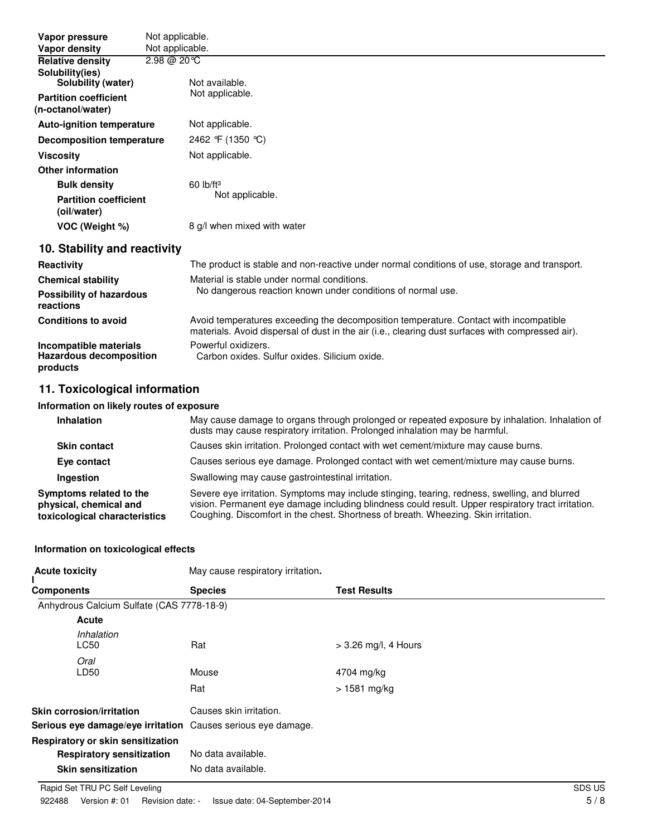| Vapor pressure                                    | Not applicable.                                                                               |
|---------------------------------------------------|-----------------------------------------------------------------------------------------------|
| Vapor density                                     | Not applicable.                                                                               |
| <b>Relative density</b>                           | $2.98 @ 20 ^{\circ}C$                                                                         |
| Solubility(ies)<br>Solubility (water)             | Not available.                                                                                |
| <b>Partition coefficient</b><br>(n-octanol/water) | Not applicable.                                                                               |
| <b>Auto-ignition temperature</b>                  | Not applicable.                                                                               |
| <b>Decomposition temperature</b>                  | 2462 °F (1350 °C)                                                                             |
| <b>Viscosity</b>                                  | Not applicable.                                                                               |
| <b>Other information</b>                          |                                                                                               |
| <b>Bulk density</b>                               | $60$ lb/ft <sup>3</sup>                                                                       |
| <b>Partition coefficient</b><br>(oil/water)       | Not applicable.                                                                               |
| VOC (Weight %)                                    | 8 g/l when mixed with water                                                                   |
| 10. Stability and reactivity                      |                                                                                               |
| <b>Reactivity</b>                                 | The product is stable and non-reactive under normal conditions of use, storage and transport. |
| <b>Chemical stability</b>                         | Material is stable under normal conditions.                                                   |
| Possibility of hazardous<br>reactions             | No dangerous reaction known under conditions of normal use.                                   |
| <b>Conditions to avoid</b>                        | Avoid temperatures exceeding the decomposition temperature. Contact with incompatible         |

materials. Avoid dispersal of dust in the air (i.e., clearing dust surfaces with compressed air). **Incompatible materials** Powerful oxidizers. **Hazardous decomposition products** Carbon oxides. Sulfur oxides. Silicium oxide.

# **11. Toxicological information**

#### **Information on likely routes of exposure**

| <b>Inhalation</b>                                                                  | May cause damage to organs through prolonged or repeated exposure by inhalation. Inhalation of<br>dusts may cause respiratory irritation. Prolonged inhalation may be harmful.                                                                                                            |
|------------------------------------------------------------------------------------|-------------------------------------------------------------------------------------------------------------------------------------------------------------------------------------------------------------------------------------------------------------------------------------------|
| <b>Skin contact</b>                                                                | Causes skin irritation. Prolonged contact with wet cement/mixture may cause burns.                                                                                                                                                                                                        |
| Eye contact                                                                        | Causes serious eye damage. Prolonged contact with wet cement/mixture may cause burns.                                                                                                                                                                                                     |
| Ingestion                                                                          | Swallowing may cause gastrointestinal irritation.                                                                                                                                                                                                                                         |
| Symptoms related to the<br>physical, chemical and<br>toxicological characteristics | Severe eye irritation. Symptoms may include stinging, tearing, redness, swelling, and blurred<br>vision. Permanent eye damage including blindness could result. Upper respiratory tract irritation.<br>Coughing. Discomfort in the chest. Shortness of breath. Wheezing. Skin irritation. |

#### **Information on toxicological effects**

| <b>Acute toxicity</b>                                                                              | May cause respiratory irritation.                     |                        |
|----------------------------------------------------------------------------------------------------|-------------------------------------------------------|------------------------|
| <b>Components</b>                                                                                  | <b>Species</b>                                        | <b>Test Results</b>    |
| Anhydrous Calcium Sulfate (CAS 7778-18-9)                                                          |                                                       |                        |
| Acute                                                                                              |                                                       |                        |
| Inhalation<br><b>LC50</b>                                                                          | Rat                                                   | $>$ 3.26 mg/l, 4 Hours |
| Oral<br>LD50                                                                                       | Mouse                                                 | 4704 mg/kg             |
|                                                                                                    | Rat                                                   | > 1581 mg/kg           |
| Skin corrosion/irritation<br>Serious eye damage/eye irritation                                     | Causes skin irritation.<br>Causes serious eye damage. |                        |
| Respiratory or skin sensitization<br><b>Respiratory sensitization</b><br><b>Skin sensitization</b> | No data available.<br>No data available.              |                        |
|                                                                                                    |                                                       |                        |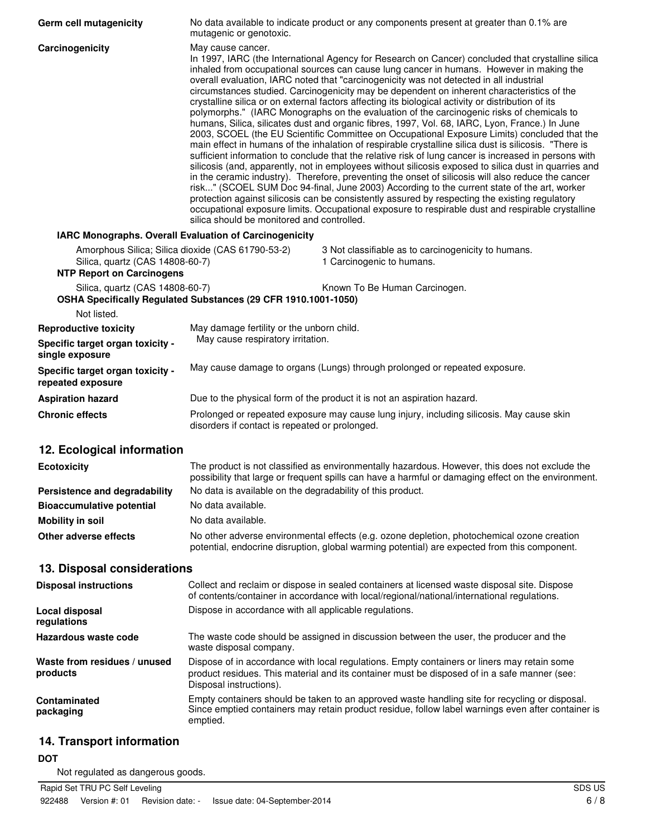| Germ cell mutagenicity                                                                                                   | No data available to indicate product or any components present at greater than 0.1% are<br>mutagenic or genotoxic.                                                                                                                                                                                                                                                                                                                                                                                                                                                                                                                                                                                                                                                                                                                                                                                                                                                                                                                                                                                                                                                                                                                                                                                                                                                                                                                                                                                                                                                                                   |                                                                                                                                                                                                       |  |
|--------------------------------------------------------------------------------------------------------------------------|-------------------------------------------------------------------------------------------------------------------------------------------------------------------------------------------------------------------------------------------------------------------------------------------------------------------------------------------------------------------------------------------------------------------------------------------------------------------------------------------------------------------------------------------------------------------------------------------------------------------------------------------------------------------------------------------------------------------------------------------------------------------------------------------------------------------------------------------------------------------------------------------------------------------------------------------------------------------------------------------------------------------------------------------------------------------------------------------------------------------------------------------------------------------------------------------------------------------------------------------------------------------------------------------------------------------------------------------------------------------------------------------------------------------------------------------------------------------------------------------------------------------------------------------------------------------------------------------------------|-------------------------------------------------------------------------------------------------------------------------------------------------------------------------------------------------------|--|
| Carcinogenicity                                                                                                          | May cause cancer.<br>In 1997, IARC (the International Agency for Research on Cancer) concluded that crystalline silica<br>inhaled from occupational sources can cause lung cancer in humans. However in making the<br>overall evaluation, IARC noted that "carcinogenicity was not detected in all industrial<br>circumstances studied. Carcinogenicity may be dependent on inherent characteristics of the<br>crystalline silica or on external factors affecting its biological activity or distribution of its<br>polymorphs." (IARC Monographs on the evaluation of the carcinogenic risks of chemicals to<br>humans, Silica, silicates dust and organic fibres, 1997, Vol. 68, IARC, Lyon, France.) In June<br>2003, SCOEL (the EU Scientific Committee on Occupational Exposure Limits) concluded that the<br>main effect in humans of the inhalation of respirable crystalline silica dust is silicosis. "There is<br>sufficient information to conclude that the relative risk of lung cancer is increased in persons with<br>silicosis (and, apparently, not in employees without silicosis exposed to silica dust in quarries and<br>in the ceramic industry). Therefore, preventing the onset of silicosis will also reduce the cancer<br>risk" (SCOEL SUM Doc 94-final, June 2003) According to the current state of the art, worker<br>protection against silicosis can be consistently assured by respecting the existing regulatory<br>occupational exposure limits. Occupational exposure to respirable dust and respirable crystalline<br>silica should be monitored and controlled. |                                                                                                                                                                                                       |  |
| IARC Monographs. Overall Evaluation of Carcinogenicity                                                                   |                                                                                                                                                                                                                                                                                                                                                                                                                                                                                                                                                                                                                                                                                                                                                                                                                                                                                                                                                                                                                                                                                                                                                                                                                                                                                                                                                                                                                                                                                                                                                                                                       |                                                                                                                                                                                                       |  |
| Amorphous Silica; Silica dioxide (CAS 61790-53-2)<br>Silica, quartz (CAS 14808-60-7)<br><b>NTP Report on Carcinogens</b> |                                                                                                                                                                                                                                                                                                                                                                                                                                                                                                                                                                                                                                                                                                                                                                                                                                                                                                                                                                                                                                                                                                                                                                                                                                                                                                                                                                                                                                                                                                                                                                                                       | 3 Not classifiable as to carcinogenicity to humans.<br>1 Carcinogenic to humans.                                                                                                                      |  |
| Silica, quartz (CAS 14808-60-7)<br>OSHA Specifically Regulated Substances (29 CFR 1910.1001-1050)                        |                                                                                                                                                                                                                                                                                                                                                                                                                                                                                                                                                                                                                                                                                                                                                                                                                                                                                                                                                                                                                                                                                                                                                                                                                                                                                                                                                                                                                                                                                                                                                                                                       | Known To Be Human Carcinogen.                                                                                                                                                                         |  |
| Not listed.                                                                                                              |                                                                                                                                                                                                                                                                                                                                                                                                                                                                                                                                                                                                                                                                                                                                                                                                                                                                                                                                                                                                                                                                                                                                                                                                                                                                                                                                                                                                                                                                                                                                                                                                       |                                                                                                                                                                                                       |  |
| <b>Reproductive toxicity</b><br>Specific target organ toxicity -<br>single exposure                                      | May damage fertility or the unborn child.<br>May cause respiratory irritation.                                                                                                                                                                                                                                                                                                                                                                                                                                                                                                                                                                                                                                                                                                                                                                                                                                                                                                                                                                                                                                                                                                                                                                                                                                                                                                                                                                                                                                                                                                                        |                                                                                                                                                                                                       |  |
| Specific target organ toxicity -<br>repeated exposure                                                                    |                                                                                                                                                                                                                                                                                                                                                                                                                                                                                                                                                                                                                                                                                                                                                                                                                                                                                                                                                                                                                                                                                                                                                                                                                                                                                                                                                                                                                                                                                                                                                                                                       | May cause damage to organs (Lungs) through prolonged or repeated exposure.                                                                                                                            |  |
| <b>Aspiration hazard</b>                                                                                                 |                                                                                                                                                                                                                                                                                                                                                                                                                                                                                                                                                                                                                                                                                                                                                                                                                                                                                                                                                                                                                                                                                                                                                                                                                                                                                                                                                                                                                                                                                                                                                                                                       | Due to the physical form of the product it is not an aspiration hazard.                                                                                                                               |  |
| <b>Chronic effects</b>                                                                                                   | disorders if contact is repeated or prolonged.                                                                                                                                                                                                                                                                                                                                                                                                                                                                                                                                                                                                                                                                                                                                                                                                                                                                                                                                                                                                                                                                                                                                                                                                                                                                                                                                                                                                                                                                                                                                                        | Prolonged or repeated exposure may cause lung injury, including silicosis. May cause skin                                                                                                             |  |
| 12. Ecological information                                                                                               |                                                                                                                                                                                                                                                                                                                                                                                                                                                                                                                                                                                                                                                                                                                                                                                                                                                                                                                                                                                                                                                                                                                                                                                                                                                                                                                                                                                                                                                                                                                                                                                                       |                                                                                                                                                                                                       |  |
| <b>Ecotoxicity</b>                                                                                                       |                                                                                                                                                                                                                                                                                                                                                                                                                                                                                                                                                                                                                                                                                                                                                                                                                                                                                                                                                                                                                                                                                                                                                                                                                                                                                                                                                                                                                                                                                                                                                                                                       | The product is not classified as environmentally hazardous. However, this does not exclude the<br>possibility that large or frequent spills can have a harmful or damaging effect on the environment. |  |
| Persistence and degradability                                                                                            | No data is available on the degradability of this product.                                                                                                                                                                                                                                                                                                                                                                                                                                                                                                                                                                                                                                                                                                                                                                                                                                                                                                                                                                                                                                                                                                                                                                                                                                                                                                                                                                                                                                                                                                                                            |                                                                                                                                                                                                       |  |
| <b>Bioaccumulative potential</b>                                                                                         | No data available.<br>No data available.                                                                                                                                                                                                                                                                                                                                                                                                                                                                                                                                                                                                                                                                                                                                                                                                                                                                                                                                                                                                                                                                                                                                                                                                                                                                                                                                                                                                                                                                                                                                                              |                                                                                                                                                                                                       |  |
| <b>Mobility in soil</b><br>Other adverse effects                                                                         |                                                                                                                                                                                                                                                                                                                                                                                                                                                                                                                                                                                                                                                                                                                                                                                                                                                                                                                                                                                                                                                                                                                                                                                                                                                                                                                                                                                                                                                                                                                                                                                                       | No other adverse environmental effects (e.g. ozone depletion, photochemical ozone creation<br>potential, endocrine disruption, global warming potential) are expected from this component.            |  |
| 13. Disposal considerations                                                                                              |                                                                                                                                                                                                                                                                                                                                                                                                                                                                                                                                                                                                                                                                                                                                                                                                                                                                                                                                                                                                                                                                                                                                                                                                                                                                                                                                                                                                                                                                                                                                                                                                       |                                                                                                                                                                                                       |  |
| <b>Disposal instructions</b>                                                                                             |                                                                                                                                                                                                                                                                                                                                                                                                                                                                                                                                                                                                                                                                                                                                                                                                                                                                                                                                                                                                                                                                                                                                                                                                                                                                                                                                                                                                                                                                                                                                                                                                       | Collect and reclaim or dispose in sealed containers at licensed waste disposal site. Dispose<br>of contents/container in accordance with local/regional/national/international regulations.           |  |
| Local disposal<br>regulations                                                                                            | Dispose in accordance with all applicable regulations.                                                                                                                                                                                                                                                                                                                                                                                                                                                                                                                                                                                                                                                                                                                                                                                                                                                                                                                                                                                                                                                                                                                                                                                                                                                                                                                                                                                                                                                                                                                                                |                                                                                                                                                                                                       |  |
| Hazardous waste code                                                                                                     | waste disposal company.                                                                                                                                                                                                                                                                                                                                                                                                                                                                                                                                                                                                                                                                                                                                                                                                                                                                                                                                                                                                                                                                                                                                                                                                                                                                                                                                                                                                                                                                                                                                                                               | The waste code should be assigned in discussion between the user, the producer and the                                                                                                                |  |
| Waste from residues / unused<br>products                                                                                 | Disposal instructions).                                                                                                                                                                                                                                                                                                                                                                                                                                                                                                                                                                                                                                                                                                                                                                                                                                                                                                                                                                                                                                                                                                                                                                                                                                                                                                                                                                                                                                                                                                                                                                               | Dispose of in accordance with local regulations. Empty containers or liners may retain some<br>product residues. This material and its container must be disposed of in a safe manner (see:           |  |
| Contaminated<br>packaging                                                                                                | emptied.                                                                                                                                                                                                                                                                                                                                                                                                                                                                                                                                                                                                                                                                                                                                                                                                                                                                                                                                                                                                                                                                                                                                                                                                                                                                                                                                                                                                                                                                                                                                                                                              | Empty containers should be taken to an approved waste handling site for recycling or disposal.<br>Since emptied containers may retain product residue, follow label warnings even after container is  |  |
| 14. Transport information                                                                                                |                                                                                                                                                                                                                                                                                                                                                                                                                                                                                                                                                                                                                                                                                                                                                                                                                                                                                                                                                                                                                                                                                                                                                                                                                                                                                                                                                                                                                                                                                                                                                                                                       |                                                                                                                                                                                                       |  |

# **DOT**

Not regulated as dangerous goods.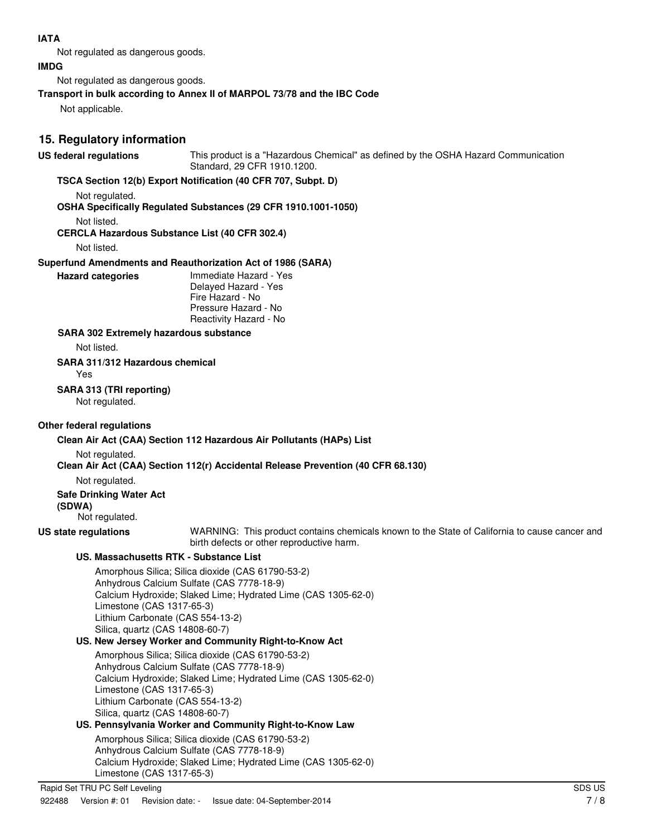# **IATA**

Not regulated as dangerous goods.

#### **IMDG**

Not regulated as dangerous goods.

### **Transport in bulk according to Annex II of MARPOL 73/78 and the IBC Code**

Not applicable.

# **15. Regulatory information**

**US federal regulations** This product is a "Hazardous Chemical" as defined by the OSHA Hazard Communication Standard, 29 CFR 1910.1200.

# **TSCA Section 12(b) Export Notification (40 CFR 707, Subpt. D)**

Not regulated.

### **OSHA Specifically Regulated Substances (29 CFR 1910.1001-1050)**

Not listed.

### **CERCLA Hazardous Substance List (40 CFR 302.4)**

Not listed.

### **Superfund Amendments and Reauthorization Act of 1986 (SARA)**

**Hazard categories** Immediate Hazard - Yes Delayed Hazard - Yes Fire Hazard - No Pressure Hazard - No Reactivity Hazard - No

#### **SARA 302 Extremely hazardous substance**

Not listed.

#### **SARA 311/312 Hazardous chemical**

Yes

# **SARA 313 (TRI reporting)**

Not regulated.

# **Other federal regulations**

# **Clean Air Act (CAA) Section 112 Hazardous Air Pollutants (HAPs) List**

Not regulated.

# **Clean Air Act (CAA) Section 112(r) Accidental Release Prevention (40 CFR 68.130)**

Not regulated.

# **Safe Drinking Water Act**

**(SDWA)** 

# Not regulated.

**US state regulations** WARNING: This product contains chemicals known to the State of California to cause cancer and birth defects or other reproductive harm.

# **US. Massachusetts RTK - Substance List**

Amorphous Silica; Silica dioxide (CAS 61790-53-2) Anhydrous Calcium Sulfate (CAS 7778-18-9) Calcium Hydroxide; Slaked Lime; Hydrated Lime (CAS 1305-62-0) Limestone (CAS 1317-65-3) Lithium Carbonate (CAS 554-13-2) Silica, quartz (CAS 14808-60-7)

# **US. New Jersey Worker and Community Right-to-Know Act**

Amorphous Silica; Silica dioxide (CAS 61790-53-2) Anhydrous Calcium Sulfate (CAS 7778-18-9) Calcium Hydroxide; Slaked Lime; Hydrated Lime (CAS 1305-62-0) Limestone (CAS 1317-65-3) Lithium Carbonate (CAS 554-13-2) Silica, quartz (CAS 14808-60-7)

# **US. Pennsylvania Worker and Community Right-to-Know Law**

Amorphous Silica; Silica dioxide (CAS 61790-53-2) Anhydrous Calcium Sulfate (CAS 7778-18-9) Calcium Hydroxide; Slaked Lime; Hydrated Lime (CAS 1305-62-0) Limestone (CAS 1317-65-3)